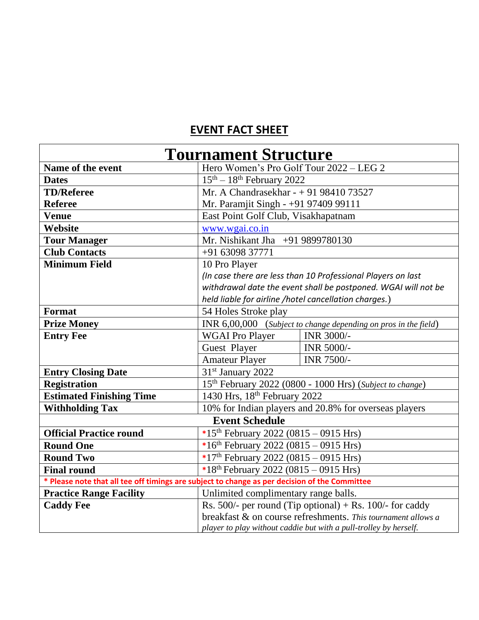## **EVENT FACT SHEET**

| <b>Tournament Structure</b>                                                                   |                                                                      |                   |  |
|-----------------------------------------------------------------------------------------------|----------------------------------------------------------------------|-------------------|--|
| Name of the event                                                                             | Hero Women's Pro Golf Tour 2022 - LEG 2                              |                   |  |
| <b>Dates</b>                                                                                  | $15th - 18th$ February 2022                                          |                   |  |
| <b>TD/Referee</b>                                                                             | Mr. A Chandrasekhar - + 91 98410 73527                               |                   |  |
| <b>Referee</b>                                                                                | Mr. Paramjit Singh - +91 97409 99111                                 |                   |  |
| <b>Venue</b>                                                                                  | East Point Golf Club, Visakhapatnam                                  |                   |  |
| Website                                                                                       | www.wgai.co.in                                                       |                   |  |
| <b>Tour Manager</b>                                                                           | Mr. Nishikant Jha +91 9899780130                                     |                   |  |
| <b>Club Contacts</b>                                                                          | +91 63098 37771                                                      |                   |  |
| <b>Minimum Field</b>                                                                          | 10 Pro Player                                                        |                   |  |
|                                                                                               | (In case there are less than 10 Professional Players on last         |                   |  |
|                                                                                               | withdrawal date the event shall be postponed. WGAI will not be       |                   |  |
|                                                                                               | held liable for airline /hotel cancellation charges.)                |                   |  |
| <b>Format</b>                                                                                 | 54 Holes Stroke play                                                 |                   |  |
| <b>Prize Money</b>                                                                            | INR 6,00,000 (Subject to change depending on pros in the field)      |                   |  |
| <b>Entry Fee</b>                                                                              | <b>WGAI Pro Player</b>                                               | <b>INR 3000/-</b> |  |
|                                                                                               | Guest Player                                                         | INR 5000/-        |  |
|                                                                                               | <b>Amateur Player</b>                                                | INR 7500/-        |  |
| <b>Entry Closing Date</b>                                                                     | 31 <sup>st</sup> January 2022                                        |                   |  |
| <b>Registration</b>                                                                           | 15 <sup>th</sup> February 2022 (0800 - 1000 Hrs) (Subject to change) |                   |  |
| <b>Estimated Finishing Time</b>                                                               | 1430 Hrs, 18th February 2022                                         |                   |  |
| <b>Withholding Tax</b>                                                                        | 10% for Indian players and 20.8% for overseas players                |                   |  |
| <b>Event Schedule</b>                                                                         |                                                                      |                   |  |
| <b>Official Practice round</b>                                                                | *15 <sup>th</sup> February 2022 (0815 - 0915 Hrs)                    |                   |  |
| <b>Round One</b>                                                                              | *16 <sup>th</sup> February 2022 (0815 - 0915 Hrs)                    |                   |  |
| <b>Round Two</b>                                                                              | *17 <sup>th</sup> February 2022 (0815 - 0915 Hrs)                    |                   |  |
| <b>Final round</b>                                                                            | *18 <sup>th</sup> February 2022 (0815 - 0915 Hrs)                    |                   |  |
| * Please note that all tee off timings are subject to change as per decision of the Committee |                                                                      |                   |  |
| <b>Practice Range Facility</b>                                                                | Unlimited complimentary range balls.                                 |                   |  |
| <b>Caddy Fee</b>                                                                              | Rs. 500/- per round (Tip optional) + Rs. 100/- for caddy             |                   |  |
|                                                                                               | breakfast & on course refreshments. This tournament allows a         |                   |  |
|                                                                                               | player to play without caddie but with a pull-trolley by herself.    |                   |  |